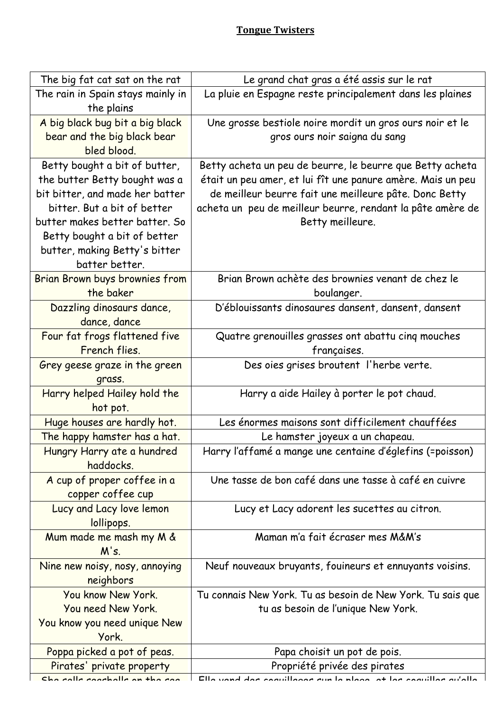| The big fat cat sat on the rat         | Le grand chat gras a été assis sur le rat                         |
|----------------------------------------|-------------------------------------------------------------------|
| The rain in Spain stays mainly in      | La pluie en Espagne reste principalement dans les plaines         |
| the plains                             |                                                                   |
| A big black bug bit a big black        | Une grosse bestiole noire mordit un gros ours noir et le          |
| bear and the big black bear            | gros ours noir saigna du sang                                     |
| bled blood.                            |                                                                   |
| Betty bought a bit of butter,          | Betty acheta un peu de beurre, le beurre que Betty acheta         |
| the butter Betty bought was a          | était un peu amer, et lui fît une panure amère. Mais un peu       |
| bit bitter, and made her batter        | de meilleur beurre fait une meilleure pâte. Donc Betty            |
| bitter. But a bit of better            | acheta un peu de meilleur beurre, rendant la pâte amère de        |
| butter makes better batter. So         | Betty meilleure.                                                  |
| Betty bought a bit of better           |                                                                   |
| butter, making Betty's bitter          |                                                                   |
| batter better.                         |                                                                   |
| Brian Brown buys brownies from         | Brian Brown achète des brownies venant de chez le                 |
| the baker                              | boulanger.                                                        |
| Dazzling dinosaurs dance,              | D'éblouissants dinosaures dansent, dansent, dansent               |
| dance, dance                           |                                                                   |
| Four fat frogs flattened five          | Quatre grenouilles grasses ont abattu cinq mouches                |
| French flies.                          | françaises.                                                       |
| Grey geese graze in the green          | Des oies grises broutent l'herbe verte.                           |
| grass.                                 |                                                                   |
| Harry helped Hailey hold the           | Harry a aide Hailey à porter le pot chaud.                        |
| hot pot.                               |                                                                   |
| Huge houses are hardly hot.            | Les énormes maisons sont difficilement chauffées                  |
| The happy hamster has a hat.           | Le hamster joyeux a un chapeau.                                   |
| Hungry Harry ate a hundred             | Harry l'affamé a mange une centaine d'églefins (=poisson)         |
| haddocks.                              |                                                                   |
| A cup of proper coffee in a            | Une tasse de bon café dans une tasse à café en cuivre             |
| copper coffee cup                      |                                                                   |
| Lucy and Lacy love lemon<br>lollipops. | Lucy et Lacy adorent les sucettes au citron.                      |
| Mum made me mash my M &                | Maman m'a fait écraser mes M&M's                                  |
| M's.                                   |                                                                   |
| Nine new noisy, nosy, annoying         | Neuf nouveaux bruyants, fouineurs et ennuyants voisins.           |
| neighbors                              |                                                                   |
| You know New York.                     | Tu connais New York. Tu as besoin de New York. Tu sais que        |
| You need New York.                     | tu as besoin de l'unique New York.                                |
| You know you need unique New           |                                                                   |
| York.                                  |                                                                   |
| Poppa picked a pot of peas.            | Papa choisit un pot de pois.                                      |
| Pirates' private property              | Propriété privée des pirates                                      |
| Sho sollo assolis da the sos           | Fille voud dan eacuillease aux la place at les socilitures pulate |